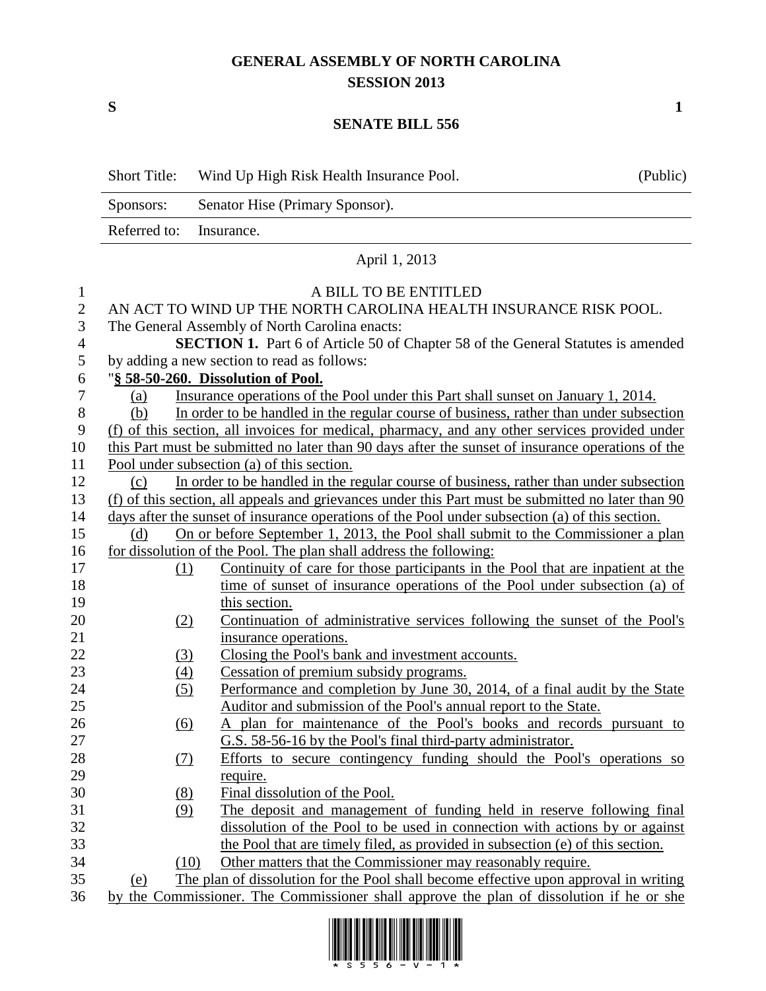## **GENERAL ASSEMBLY OF NORTH CAROLINA SESSION 2013**

## **SENATE BILL 556**

|                  | <b>Short Title:</b>                                                                                | Wind Up High Risk Health Insurance Pool.                                                          | (Public) |  |
|------------------|----------------------------------------------------------------------------------------------------|---------------------------------------------------------------------------------------------------|----------|--|
|                  | Sponsors:                                                                                          | Senator Hise (Primary Sponsor).                                                                   |          |  |
|                  | Referred to:                                                                                       | Insurance.                                                                                        |          |  |
|                  | April 1, 2013                                                                                      |                                                                                                   |          |  |
| $\mathbf{1}$     | A BILL TO BE ENTITLED                                                                              |                                                                                                   |          |  |
| $\sqrt{2}$       |                                                                                                    | AN ACT TO WIND UP THE NORTH CAROLINA HEALTH INSURANCE RISK POOL.                                  |          |  |
| 3                |                                                                                                    | The General Assembly of North Carolina enacts:                                                    |          |  |
| $\overline{4}$   |                                                                                                    | SECTION 1. Part 6 of Article 50 of Chapter 58 of the General Statutes is amended                  |          |  |
| 5                |                                                                                                    | by adding a new section to read as follows:                                                       |          |  |
| 6                |                                                                                                    | "§ 58-50-260. Dissolution of Pool.                                                                |          |  |
| $\boldsymbol{7}$ | (a)                                                                                                | Insurance operations of the Pool under this Part shall sunset on January 1, 2014.                 |          |  |
| $8\,$            | (b)                                                                                                | In order to be handled in the regular course of business, rather than under subsection            |          |  |
| 9                |                                                                                                    | (f) of this section, all invoices for medical, pharmacy, and any other services provided under    |          |  |
| 10               |                                                                                                    | this Part must be submitted no later than 90 days after the sunset of insurance operations of the |          |  |
| 11               |                                                                                                    | Pool under subsection (a) of this section.                                                        |          |  |
| 12               | (c)                                                                                                | In order to be handled in the regular course of business, rather than under subsection            |          |  |
| 13               | (f) of this section, all appeals and grievances under this Part must be submitted no later than 90 |                                                                                                   |          |  |
| 14               |                                                                                                    | days after the sunset of insurance operations of the Pool under subsection (a) of this section.   |          |  |
| 15               | (d)                                                                                                | On or before September 1, 2013, the Pool shall submit to the Commissioner a plan                  |          |  |
| 16               |                                                                                                    | for dissolution of the Pool. The plan shall address the following:                                |          |  |
| 17               | (1)                                                                                                | Continuity of care for those participants in the Pool that are inpatient at the                   |          |  |
| 18               |                                                                                                    | time of sunset of insurance operations of the Pool under subsection (a) of                        |          |  |
| 19               |                                                                                                    | this section.                                                                                     |          |  |
| 20               | (2)                                                                                                | Continuation of administrative services following the sunset of the Pool's                        |          |  |
| 21               |                                                                                                    | insurance operations.                                                                             |          |  |
| 22               | $\left(3\right)$                                                                                   | Closing the Pool's bank and investment accounts.                                                  |          |  |
| 23               | $\underline{(4)}$                                                                                  | Cessation of premium subsidy programs.                                                            |          |  |
| 24               | (5)                                                                                                | Performance and completion by June 30, 2014, of a final audit by the State                        |          |  |
| 25               |                                                                                                    | Auditor and submission of the Pool's annual report to the State.                                  |          |  |
| 26               | (6)                                                                                                | A plan for maintenance of the Pool's books and records pursuant to                                |          |  |
| 27               |                                                                                                    | G.S. 58-56-16 by the Pool's final third-party administrator.                                      |          |  |
| 28               | <u>(7)</u>                                                                                         | Efforts to secure contingency funding should the Pool's operations so                             |          |  |
| 29               |                                                                                                    | require.                                                                                          |          |  |
| 30               | (8)                                                                                                | Final dissolution of the Pool.                                                                    |          |  |
| 31               | (9)                                                                                                | The deposit and management of funding held in reserve following final                             |          |  |
| 32               |                                                                                                    | dissolution of the Pool to be used in connection with actions by or against                       |          |  |
| 33               |                                                                                                    | the Pool that are timely filed, as provided in subsection (e) of this section.                    |          |  |
| 34               | (10)                                                                                               | Other matters that the Commissioner may reasonably require.                                       |          |  |
| 35               | (e)                                                                                                | The plan of dissolution for the Pool shall become effective upon approval in writing              |          |  |
| 36               | by the Commissioner. The Commissioner shall approve the plan of dissolution if he or she           |                                                                                                   |          |  |



**S 1**